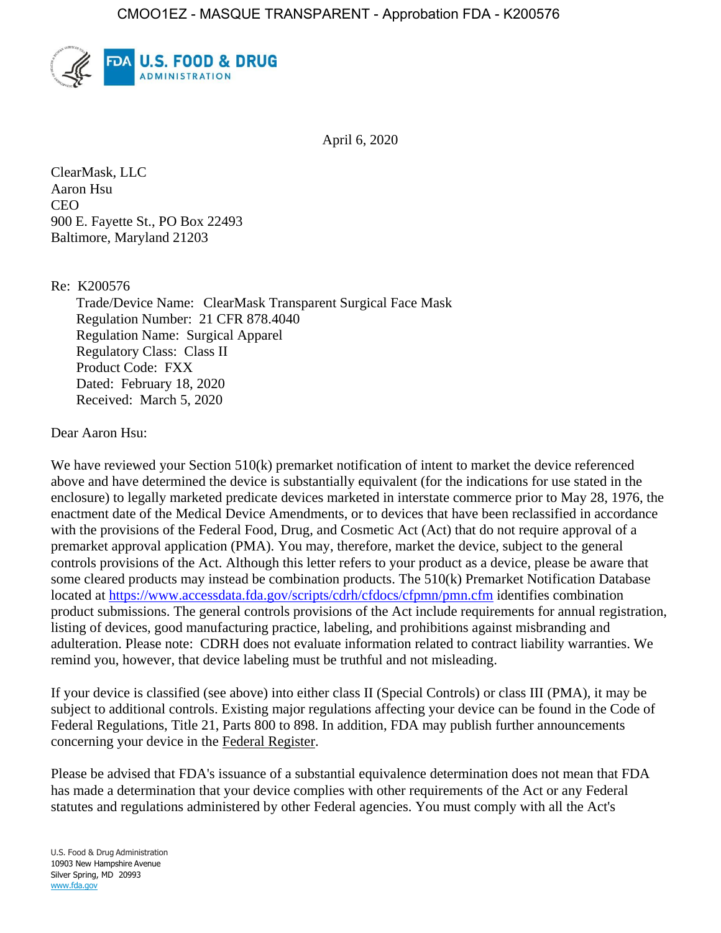

April 6, 2020

ClearMask, LLC Aaron Hsu **CEO** 900 E. Fayette St., PO Box 22493 Baltimore, Maryland 21203

Re: K200576

Trade/Device Name: ClearMask Transparent Surgical Face Mask Regulation Number: 21 CFR 878.4040 Regulation Name: Surgical Apparel Regulatory Class: Class II Product Code: FXX Dated: February 18, 2020 Received: March 5, 2020

Dear Aaron Hsu:

We have reviewed your Section 510(k) premarket notification of intent to market the device referenced above and have determined the device is substantially equivalent (for the indications for use stated in the enclosure) to legally marketed predicate devices marketed in interstate commerce prior to May 28, 1976, the enactment date of the Medical Device Amendments, or to devices that have been reclassified in accordance with the provisions of the Federal Food, Drug, and Cosmetic Act (Act) that do not require approval of a premarket approval application (PMA). You may, therefore, market the device, subject to the general controls provisions of the Act. Although this letter refers to your product as a device, please be aware that some cleared products may instead be combination products. The 510(k) Premarket Notification Database located at<https://www.accessdata.fda.gov/scripts/cdrh/cfdocs/cfpmn/pmn.cfm> identifies combination product submissions. The general controls provisions of the Act include requirements for annual registration, listing of devices, good manufacturing practice, labeling, and prohibitions against misbranding and adulteration. Please note: CDRH does not evaluate information related to contract liability warranties. We remind you, however, that device labeling must be truthful and not misleading.

If your device is classified (see above) into either class II (Special Controls) or class III (PMA), it may be subject to additional controls. Existing major regulations affecting your device can be found in the Code of Federal Regulations, Title 21, Parts 800 to 898. In addition, FDA may publish further announcements concerning your device in the Federal Register.

Please be advised that FDA's issuance of a substantial equivalence determination does not mean that FDA has made a determination that your device complies with other requirements of the Act or any Federal statutes and regulations administered by other Federal agencies. You must comply with all the Act's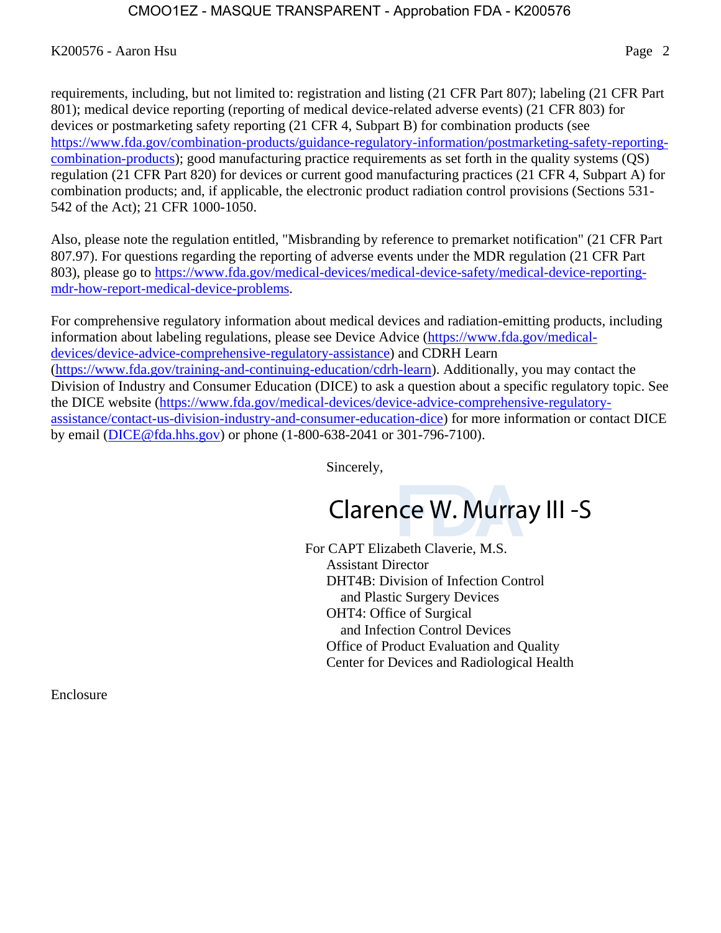## K200576 - Aaron Hsu Page 2

requirements, including, but not limited to: registration and listing (21 CFR Part 807); labeling (21 CFR Part 801); medical device reporting (reporting of medical device-related adverse events) (21 CFR 803) for devices or postmarketing safety reporting (21 CFR 4, Subpart B) for combination products (see [https://www.fda.gov/combination-products/guidance-regulatory-information/postmarketing-safety-reporting](https://www.fda.gov/combination-products/guidance-regulatory-information/postmarketing-safety-reporting-combination-products)[combination-products\)](https://www.fda.gov/combination-products/guidance-regulatory-information/postmarketing-safety-reporting-combination-products); good manufacturing practice requirements as set forth in the quality systems (QS) regulation (21 CFR Part 820) for devices or current good manufacturing practices (21 CFR 4, Subpart A) for combination products; and, if applicable, the electronic product radiation control provisions (Sections 531- 542 of the Act); 21 CFR 1000-1050.

Also, please note the regulation entitled, "Misbranding by reference to premarket notification" (21 CFR Part 807.97). For questions regarding the reporting of adverse events under the MDR regulation (21 CFR Part 803), please go to [https://www.fda.gov/medical-devices/medical-device-safety/medical-device-reporting](https://www.fda.gov/medical-devices/medical-device-safety/medical-device-reporting-mdr-how-report-medical-device-problems)[mdr-how-report-medical-device-problems.](https://www.fda.gov/medical-devices/medical-device-safety/medical-device-reporting-mdr-how-report-medical-device-problems)

For comprehensive regulatory information about medical devices and radiation-emitting products, including information about labeling regulations, please see Device Advice [\(https://www.fda.gov/medical](https://www.fda.gov/medical-devices/device-advice-comprehensive-regulatory-assistance)[devices/device-advice-comprehensive-regulatory-assistance\)](https://www.fda.gov/medical-devices/device-advice-comprehensive-regulatory-assistance) and CDRH Learn [\(https://www.fda.gov/training-and-continuing-education/cdrh-learn\)](https://www.fda.gov/training-and-continuing-education/cdrh-learn). Additionally, you may contact the Division of Industry and Consumer Education (DICE) to ask a question about a specific regulatory topic. See the DICE website [\(https://www.fda.gov/medical-devices/device-advice-comprehensive-regulatory](https://www.fda.gov/medical-devices/device-advice-comprehensive-regulatory-assistance/contact-us-division-industry-and-consumer-education-dice)[assistance/contact-us-division-industry-and-consumer-education-dice\)](https://www.fda.gov/medical-devices/device-advice-comprehensive-regulatory-assistance/contact-us-division-industry-and-consumer-education-dice) for more information or contact DICE by email [\(DICE@fda.hhs.gov\)](mailto:%20DICE@fda.hhs.gov) or phone (1-800-638-2041 or 301-796-7100).

Sincerely,

# Clarence W. Murray III -S

For CAPT Elizabeth Claverie, M.S. Assistant Director DHT4B: Division of Infection Control and Plastic Surgery Devices OHT4: Office of Surgical and Infection Control Devices Office of Product Evaluation and Quality Center for Devices and Radiological Health

Enclosure